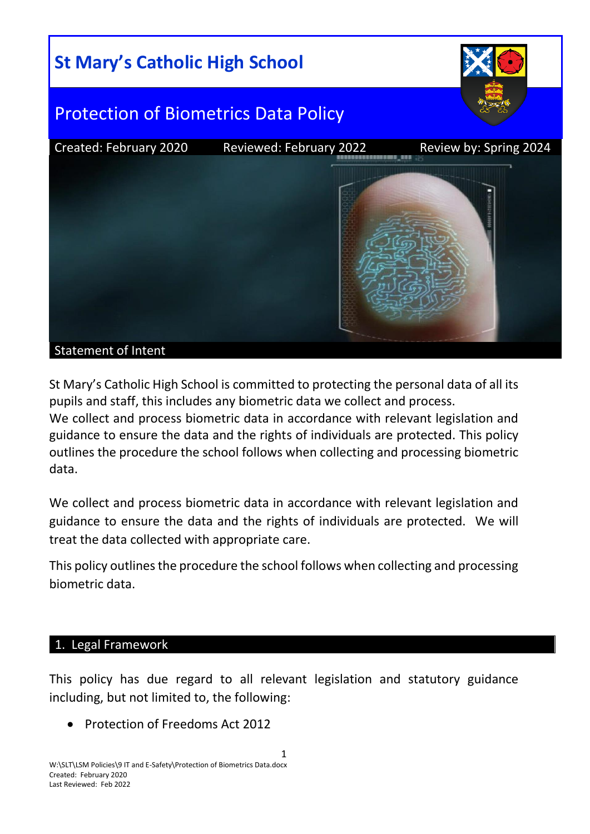

St Mary's Catholic High School is committed to protecting the personal data of all its pupils and staff, this includes any biometric data we collect and process. We collect and process biometric data in accordance with relevant legislation and guidance to ensure the data and the rights of individuals are protected. This policy outlines the procedure the school follows when collecting and processing biometric data.

We collect and process biometric data in accordance with relevant legislation and guidance to ensure the data and the rights of individuals are protected. We will treat the data collected with appropriate care.

This policy outlines the procedure the school follows when collecting and processing biometric data.

#### 1. Legal Framework

This policy has due regard to all relevant legislation and statutory guidance including, but not limited to, the following:

Protection of Freedoms Act 2012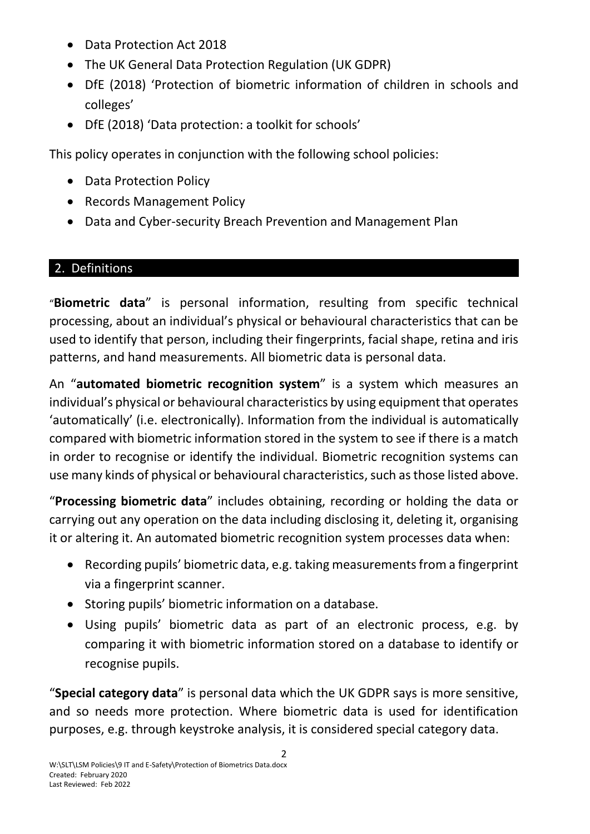- Data Protection Act 2018
- The UK General Data Protection Regulation (UK GDPR)
- DfE (2018) 'Protection of biometric information of children in schools and colleges'
- DfE (2018) 'Data protection: a toolkit for schools'

This policy operates in conjunction with the following school policies:

- Data Protection Policy
- Records Management Policy
- Data and Cyber-security Breach Prevention and Management Plan

### 2. Definitions

"**Biometric data**" is personal information, resulting from specific technical processing, about an individual's physical or behavioural characteristics that can be used to identify that person, including their fingerprints, facial shape, retina and iris patterns, and hand measurements. All biometric data is personal data.

An "**automated biometric recognition system**" is a system which measures an individual's physical or behavioural characteristics by using equipment that operates 'automatically' (i.e. electronically). Information from the individual is automatically compared with biometric information stored in the system to see if there is a match in order to recognise or identify the individual. Biometric recognition systems can use many kinds of physical or behavioural characteristics, such as those listed above.

"**Processing biometric data**" includes obtaining, recording or holding the data or carrying out any operation on the data including disclosing it, deleting it, organising it or altering it. An automated biometric recognition system processes data when:

- Recording pupils' biometric data, e.g. taking measurements from a fingerprint via a fingerprint scanner.
- Storing pupils' biometric information on a database.
- Using pupils' biometric data as part of an electronic process, e.g. by comparing it with biometric information stored on a database to identify or recognise pupils.

"**Special category data**" is personal data which the UK GDPR says is more sensitive, and so needs more protection. Where biometric data is used for identification purposes, e.g. through keystroke analysis, it is considered special category data.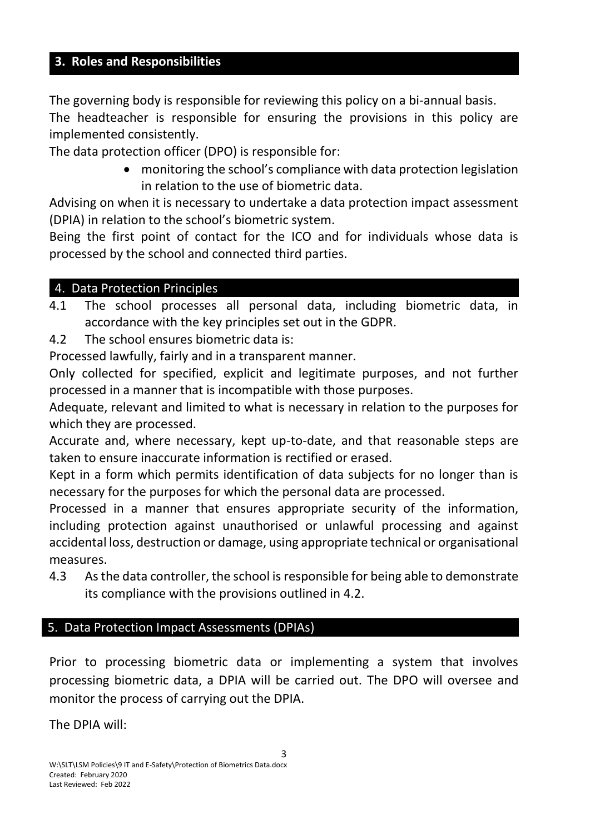### **3. Roles and Responsibilities**

The governing body is responsible for reviewing this policy on a bi-annual basis. The headteacher is responsible for ensuring the provisions in this policy are implemented consistently.

The data protection officer (DPO) is responsible for:

 monitoring the school's compliance with data protection legislation in relation to the use of biometric data.

Advising on when it is necessary to undertake a data protection impact assessment (DPIA) in relation to the school's biometric system.

Being the first point of contact for the ICO and for individuals whose data is processed by the school and connected third parties.

#### 4. Data Protection Principles

4.1 The school processes all personal data, including biometric data, in accordance with the key principles set out in the GDPR.

4.2 The school ensures biometric data is:

Processed lawfully, fairly and in a transparent manner.

Only collected for specified, explicit and legitimate purposes, and not further processed in a manner that is incompatible with those purposes.

Adequate, relevant and limited to what is necessary in relation to the purposes for which they are processed.

Accurate and, where necessary, kept up-to-date, and that reasonable steps are taken to ensure inaccurate information is rectified or erased.

Kept in a form which permits identification of data subjects for no longer than is necessary for the purposes for which the personal data are processed.

Processed in a manner that ensures appropriate security of the information, including protection against unauthorised or unlawful processing and against accidental loss, destruction or damage, using appropriate technical or organisational measures.

4.3 As the data controller, the school is responsible for being able to demonstrate its compliance with the provisions outlined in 4.2.

# 5. Data Protection Impact Assessments (DPIAs)

Prior to processing biometric data or implementing a system that involves processing biometric data, a DPIA will be carried out. The DPO will oversee and monitor the process of carrying out the DPIA.

The DPIA will: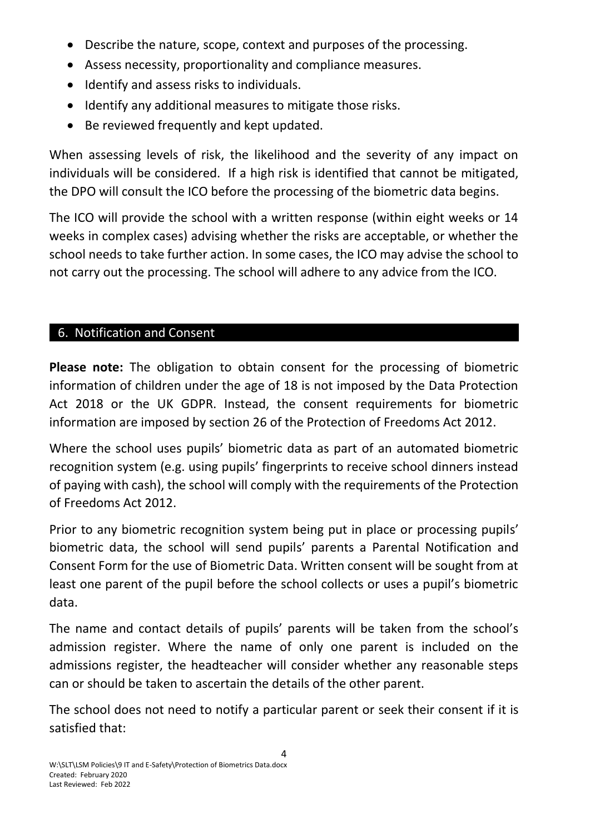- Describe the nature, scope, context and purposes of the processing.
- Assess necessity, proportionality and compliance measures.
- Identify and assess risks to individuals.
- Identify any additional measures to mitigate those risks.
- Be reviewed frequently and kept updated.

When assessing levels of risk, the likelihood and the severity of any impact on individuals will be considered. If a high risk is identified that cannot be mitigated, the DPO will consult the ICO before the processing of the biometric data begins.

The ICO will provide the school with a written response (within eight weeks or 14 weeks in complex cases) advising whether the risks are acceptable, or whether the school needs to take further action. In some cases, the ICO may advise the school to not carry out the processing. The school will adhere to any advice from the ICO.

### 6. Notification and Consent

**Please note:** The obligation to obtain consent for the processing of biometric information of children under the age of 18 is not imposed by the Data Protection Act 2018 or the UK GDPR. Instead, the consent requirements for biometric information are imposed by section 26 of the Protection of Freedoms Act 2012.

Where the school uses pupils' biometric data as part of an automated biometric recognition system (e.g. using pupils' fingerprints to receive school dinners instead of paying with cash), the school will comply with the requirements of the Protection of Freedoms Act 2012.

Prior to any biometric recognition system being put in place or processing pupils' biometric data, the school will send pupils' parents a Parental Notification and Consent Form for the use of Biometric Data. Written consent will be sought from at least one parent of the pupil before the school collects or uses a pupil's biometric data.

The name and contact details of pupils' parents will be taken from the school's admission register. Where the name of only one parent is included on the admissions register, the headteacher will consider whether any reasonable steps can or should be taken to ascertain the details of the other parent.

The school does not need to notify a particular parent or seek their consent if it is satisfied that: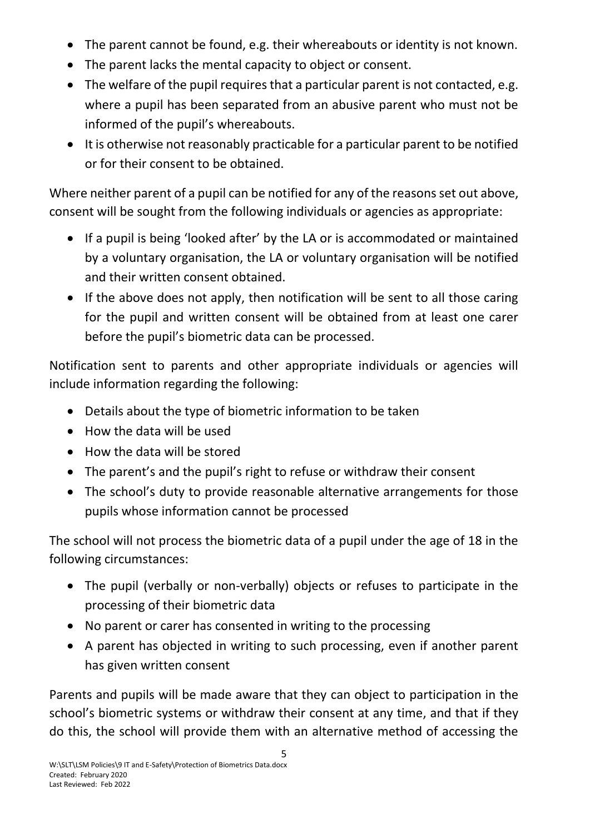- The parent cannot be found, e.g. their whereabouts or identity is not known.
- The parent lacks the mental capacity to object or consent.
- The welfare of the pupil requires that a particular parent is not contacted, e.g. where a pupil has been separated from an abusive parent who must not be informed of the pupil's whereabouts.
- It is otherwise not reasonably practicable for a particular parent to be notified or for their consent to be obtained.

Where neither parent of a pupil can be notified for any of the reasons set out above, consent will be sought from the following individuals or agencies as appropriate:

- If a pupil is being 'looked after' by the LA or is accommodated or maintained by a voluntary organisation, the LA or voluntary organisation will be notified and their written consent obtained.
- If the above does not apply, then notification will be sent to all those caring for the pupil and written consent will be obtained from at least one carer before the pupil's biometric data can be processed.

Notification sent to parents and other appropriate individuals or agencies will include information regarding the following:

- Details about the type of biometric information to be taken
- How the data will be used
- How the data will be stored
- The parent's and the pupil's right to refuse or withdraw their consent
- The school's duty to provide reasonable alternative arrangements for those pupils whose information cannot be processed

The school will not process the biometric data of a pupil under the age of 18 in the following circumstances:

- The pupil (verbally or non-verbally) objects or refuses to participate in the processing of their biometric data
- No parent or carer has consented in writing to the processing
- A parent has objected in writing to such processing, even if another parent has given written consent

Parents and pupils will be made aware that they can object to participation in the school's biometric systems or withdraw their consent at any time, and that if they do this, the school will provide them with an alternative method of accessing the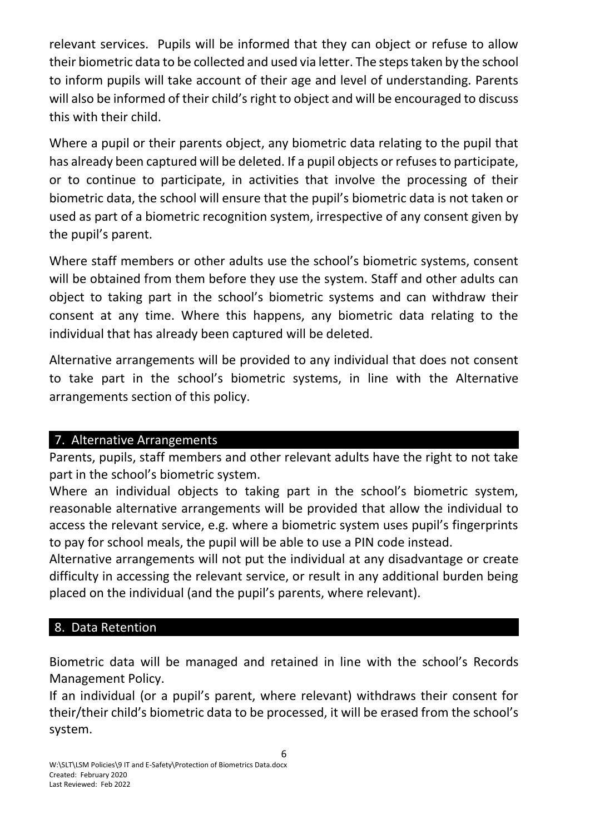relevant services. Pupils will be informed that they can object or refuse to allow their biometric data to be collected and used via letter. The steps taken by the school to inform pupils will take account of their age and level of understanding. Parents will also be informed of their child's right to object and will be encouraged to discuss this with their child.

Where a pupil or their parents object, any biometric data relating to the pupil that has already been captured will be deleted. If a pupil objects or refuses to participate, or to continue to participate, in activities that involve the processing of their biometric data, the school will ensure that the pupil's biometric data is not taken or used as part of a biometric recognition system, irrespective of any consent given by the pupil's parent.

Where staff members or other adults use the school's biometric systems, consent will be obtained from them before they use the system. Staff and other adults can object to taking part in the school's biometric systems and can withdraw their consent at any time. Where this happens, any biometric data relating to the individual that has already been captured will be deleted.

Alternative arrangements will be provided to any individual that does not consent to take part in the school's biometric systems, in line with the Alternative arrangements section of this policy.

#### 7. Alternative Arrangements

Parents, pupils, staff members and other relevant adults have the right to not take part in the school's biometric system.

Where an individual objects to taking part in the school's biometric system, reasonable alternative arrangements will be provided that allow the individual to access the relevant service, e.g. where a biometric system uses pupil's fingerprints to pay for school meals, the pupil will be able to use a PIN code instead.

Alternative arrangements will not put the individual at any disadvantage or create difficulty in accessing the relevant service, or result in any additional burden being placed on the individual (and the pupil's parents, where relevant).

# 8. Data Retention

Biometric data will be managed and retained in line with the school's Records Management Policy.

If an individual (or a pupil's parent, where relevant) withdraws their consent for their/their child's biometric data to be processed, it will be erased from the school's system.

6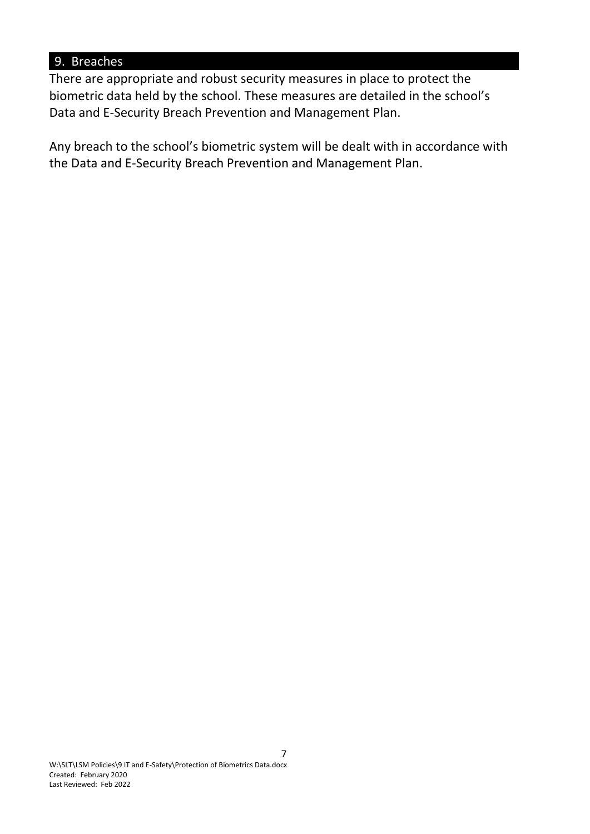### 9. Breaches

There are appropriate and robust security measures in place to protect the biometric data held by the school. These measures are detailed in the school's Data and E-Security Breach Prevention and Management Plan.

Any breach to the school's biometric system will be dealt with in accordance with the Data and E-Security Breach Prevention and Management Plan.

7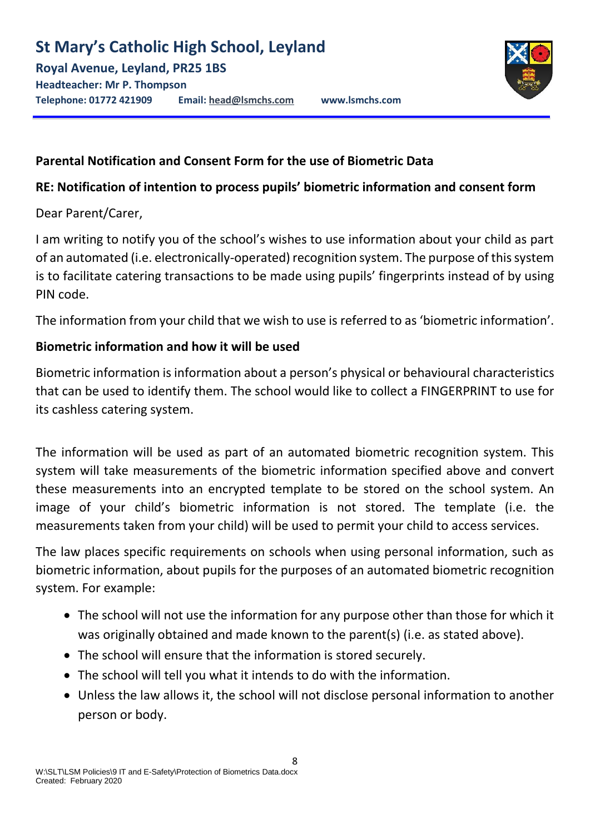# **Parental Notification and Consent Form for the use of Biometric Data**

# **RE: Notification of intention to process pupils' biometric information and consent form**

Dear Parent/Carer,

I am writing to notify you of the school's wishes to use information about your child as part of an automated (i.e. electronically-operated) recognition system. The purpose of this system is to facilitate catering transactions to be made using pupils' fingerprints instead of by using PIN code.

The information from your child that we wish to use is referred to as 'biometric information'.

# **Biometric information and how it will be used**

Biometric information is information about a person's physical or behavioural characteristics that can be used to identify them. The school would like to collect a FINGERPRINT to use for its cashless catering system.

The information will be used as part of an automated biometric recognition system. This system will take measurements of the biometric information specified above and convert these measurements into an encrypted template to be stored on the school system. An image of your child's biometric information is not stored. The template (i.e. the measurements taken from your child) will be used to permit your child to access services.

The law places specific requirements on schools when using personal information, such as biometric information, about pupils for the purposes of an automated biometric recognition system. For example:

- The school will not use the information for any purpose other than those for which it was originally obtained and made known to the parent(s) (i.e. as stated above).
- The school will ensure that the information is stored securely.
- The school will tell you what it intends to do with the information.
- Unless the law allows it, the school will not disclose personal information to another person or body.

8

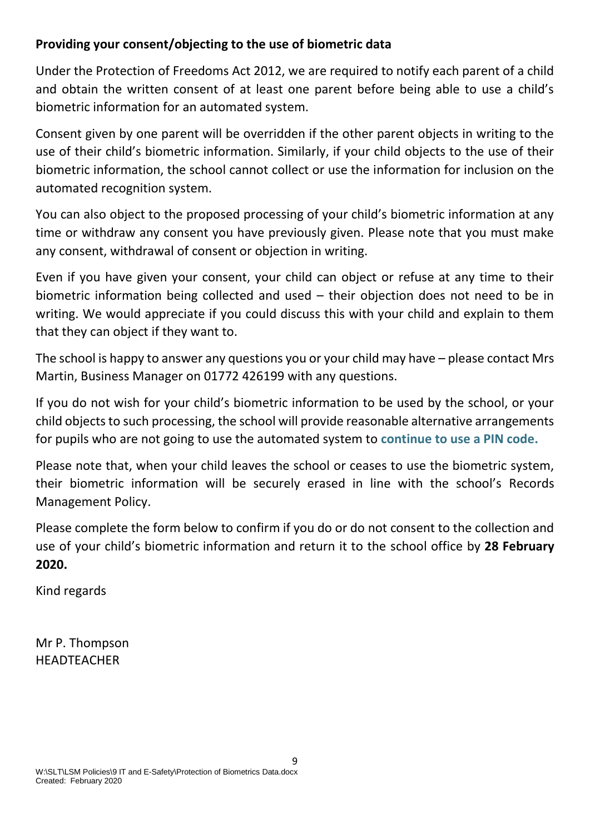# **Providing your consent/objecting to the use of biometric data**

Under the Protection of Freedoms Act 2012, we are required to notify each parent of a child and obtain the written consent of at least one parent before being able to use a child's biometric information for an automated system.

Consent given by one parent will be overridden if the other parent objects in writing to the use of their child's biometric information. Similarly, if your child objects to the use of their biometric information, the school cannot collect or use the information for inclusion on the automated recognition system.

You can also object to the proposed processing of your child's biometric information at any time or withdraw any consent you have previously given. Please note that you must make any consent, withdrawal of consent or objection in writing.

Even if you have given your consent, your child can object or refuse at any time to their biometric information being collected and used – their objection does not need to be in writing. We would appreciate if you could discuss this with your child and explain to them that they can object if they want to.

The school is happy to answer any questions you or your child may have – please contact Mrs Martin, Business Manager on 01772 426199 with any questions.

If you do not wish for your child's biometric information to be used by the school, or your child objects to such processing, the school will provide reasonable alternative arrangements for pupils who are not going to use the automated system to **continue to use a PIN code.**

Please note that, when your child leaves the school or ceases to use the biometric system, their biometric information will be securely erased in line with the school's Records Management Policy.

Please complete the form below to confirm if you do or do not consent to the collection and use of your child's biometric information and return it to the school office by **28 February 2020.** 

9

Kind regards

Mr P. Thompson HEADTEACHER